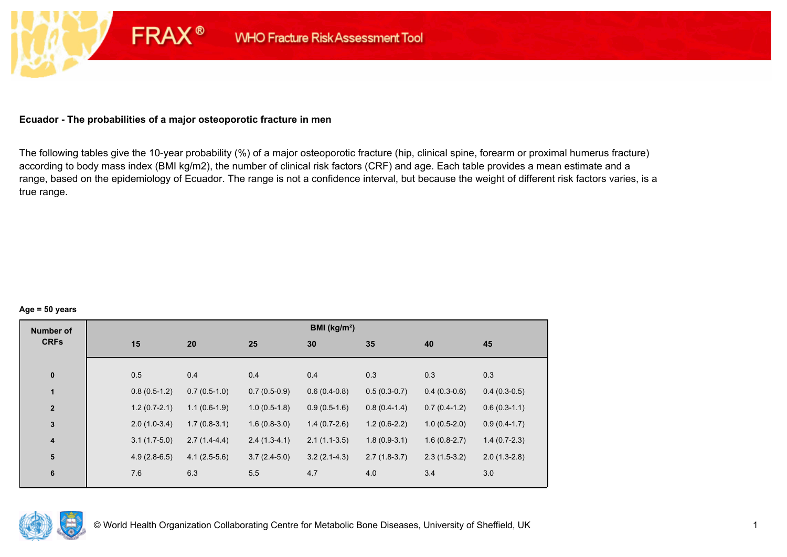## **Ecuador - The probabilities of a major osteoporotic fracture in men**

**FRAX®** 

The following tables give the 10-year probability (%) of a major osteoporotic fracture (hip, clinical spine, forearm or proximal humerus fracture) according to body mass index (BMI kg/m2), the number of clinical risk factors (CRF) and age. Each table provides a mean estimate and a range, based on the epidemiology of Ecuador. The range is not a confidence interval, but because the weight of different risk factors varies, is a true range.

#### **Age = 50 years**

| <b>Number of</b>        |     |                                  |                | BMI (kg/m <sup>2</sup> ) |                |                |                |
|-------------------------|-----|----------------------------------|----------------|--------------------------|----------------|----------------|----------------|
| <b>CRFs</b>             | 15  | 20                               | 25             | 30                       | 35             | 40             | 45             |
|                         |     |                                  |                |                          |                |                |                |
| $\pmb{0}$               | 0.5 | 0.4                              | 0.4            | 0.4                      | 0.3            | 0.3            | 0.3            |
| $\overline{1}$          |     | $0.8(0.5-1.2)$<br>$0.7(0.5-1.0)$ | $0.7(0.5-0.9)$ | $0.6(0.4-0.8)$           | $0.5(0.3-0.7)$ | $0.4(0.3-0.6)$ | $0.4(0.3-0.5)$ |
| $\mathbf{2}$            |     | $1.2(0.7-2.1)$<br>$1.1(0.6-1.9)$ | $1.0(0.5-1.8)$ | $0.9(0.5-1.6)$           | $0.8(0.4-1.4)$ | $0.7(0.4-1.2)$ | $0.6(0.3-1.1)$ |
| $\mathbf 3$             |     | $2.0(1.0-3.4)$<br>$1.7(0.8-3.1)$ | $1.6(0.8-3.0)$ | $1.4(0.7-2.6)$           | $1.2(0.6-2.2)$ | $1.0(0.5-2.0)$ | $0.9(0.4-1.7)$ |
| $\overline{\mathbf{4}}$ |     | $3.1(1.7-5.0)$<br>$2.7(1.4-4.4)$ | $2.4(1.3-4.1)$ | $2.1(1.1-3.5)$           | $1.8(0.9-3.1)$ | $1.6(0.8-2.7)$ | $1.4(0.7-2.3)$ |
| 5                       |     | $4.9(2.8-6.5)$<br>$4.1(2.5-5.6)$ | $3.7(2.4-5.0)$ | $3.2(2.1-4.3)$           | $2.7(1.8-3.7)$ | $2.3(1.5-3.2)$ | $2.0(1.3-2.8)$ |
| 6                       | 7.6 | 6.3                              | 5.5            | 4.7                      | 4.0            | 3.4            | 3.0            |
|                         |     |                                  |                |                          |                |                |                |

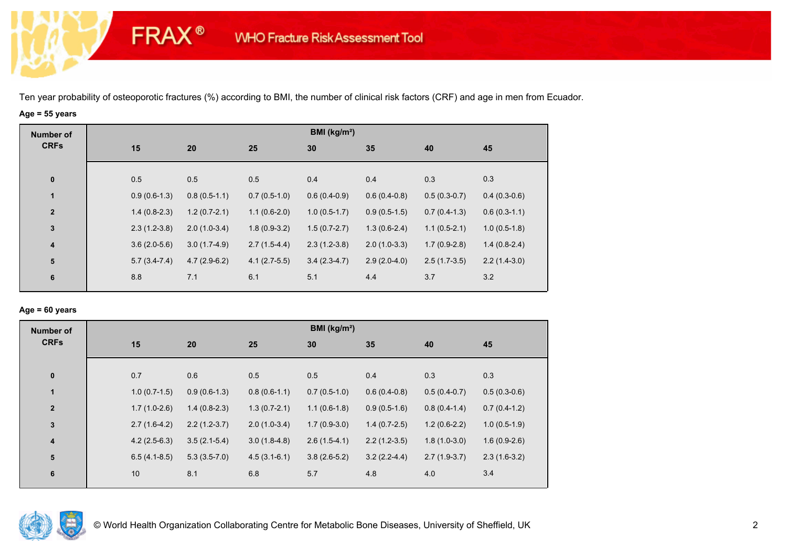# **Age = 55 years**

**FRAX®** 

| <b>Number of</b>        |     |                |                |                | BMI ( $kg/m2$ ) |                |                |                |
|-------------------------|-----|----------------|----------------|----------------|-----------------|----------------|----------------|----------------|
| <b>CRFs</b>             | 15  |                | 20             | 25             | 30              | 35             | 40             | 45             |
|                         |     |                |                |                |                 |                |                |                |
| $\bf{0}$                | 0.5 |                | 0.5            | 0.5            | 0.4             | 0.4            | 0.3            | 0.3            |
| 1                       |     | $0.9(0.6-1.3)$ | $0.8(0.5-1.1)$ | $0.7(0.5-1.0)$ | $0.6(0.4-0.9)$  | $0.6(0.4-0.8)$ | $0.5(0.3-0.7)$ | $0.4(0.3-0.6)$ |
| $\mathbf{2}$            |     | $1.4(0.8-2.3)$ | $1.2(0.7-2.1)$ | $1.1(0.6-2.0)$ | $1.0(0.5-1.7)$  | $0.9(0.5-1.5)$ | $0.7(0.4-1.3)$ | $0.6(0.3-1.1)$ |
| $\mathbf 3$             |     | $2.3(1.2-3.8)$ | $2.0(1.0-3.4)$ | $1.8(0.9-3.2)$ | $1.5(0.7-2.7)$  | $1.3(0.6-2.4)$ | $1.1(0.5-2.1)$ | $1.0(0.5-1.8)$ |
| $\overline{\mathbf{4}}$ |     | $3.6(2.0-5.6)$ | $3.0(1.7-4.9)$ | $2.7(1.5-4.4)$ | $2.3(1.2-3.8)$  | $2.0(1.0-3.3)$ | $1.7(0.9-2.8)$ | $1.4(0.8-2.4)$ |
| ${\bf 5}$               |     | $5.7(3.4-7.4)$ | $4.7(2.9-6.2)$ | $4.1(2.7-5.5)$ | $3.4(2.3-4.7)$  | $2.9(2.0-4.0)$ | $2.5(1.7-3.5)$ | $2.2(1.4-3.0)$ |
| 6                       | 8.8 |                | 7.1            | 6.1            | 5.1             | 4.4            | 3.7            | 3.2            |

### **Age = 60 years**

| <b>Number of</b>        |                |                |                | BMI ( $kg/m2$ ) |                |                |                |
|-------------------------|----------------|----------------|----------------|-----------------|----------------|----------------|----------------|
| <b>CRFs</b>             | 15             | 20             | 25             | 30              | 35             | 40             | 45             |
| $\pmb{0}$               | 0.7            | 0.6            | 0.5            | 0.5             | 0.4            | 0.3            | 0.3            |
| $\mathbf{1}$            | $1.0(0.7-1.5)$ | $0.9(0.6-1.3)$ | $0.8(0.6-1.1)$ | $0.7(0.5-1.0)$  | $0.6(0.4-0.8)$ | $0.5(0.4-0.7)$ | $0.5(0.3-0.6)$ |
| $\overline{\mathbf{2}}$ | $1.7(1.0-2.6)$ | $1.4(0.8-2.3)$ | $1.3(0.7-2.1)$ | $1.1(0.6-1.8)$  | $0.9(0.5-1.6)$ | $0.8(0.4-1.4)$ | $0.7(0.4-1.2)$ |
| $\mathbf 3$             | $2.7(1.6-4.2)$ | $2.2(1.2-3.7)$ | $2.0(1.0-3.4)$ | $1.7(0.9-3.0)$  | $1.4(0.7-2.5)$ | $1.2(0.6-2.2)$ | $1.0(0.5-1.9)$ |
| $\overline{\mathbf{4}}$ | $4.2(2.5-6.3)$ | $3.5(2.1-5.4)$ | $3.0(1.8-4.8)$ | $2.6(1.5-4.1)$  | $2.2(1.2-3.5)$ | $1.8(1.0-3.0)$ | $1.6(0.9-2.6)$ |
| 5                       | $6.5(4.1-8.5)$ | $5.3(3.5-7.0)$ | $4.5(3.1-6.1)$ | $3.8(2.6-5.2)$  | $3.2(2.2-4.4)$ | $2.7(1.9-3.7)$ | $2.3(1.6-3.2)$ |
| 6                       | 10             | 8.1            | 6.8            | 5.7             | 4.8            | 4.0            | 3.4            |

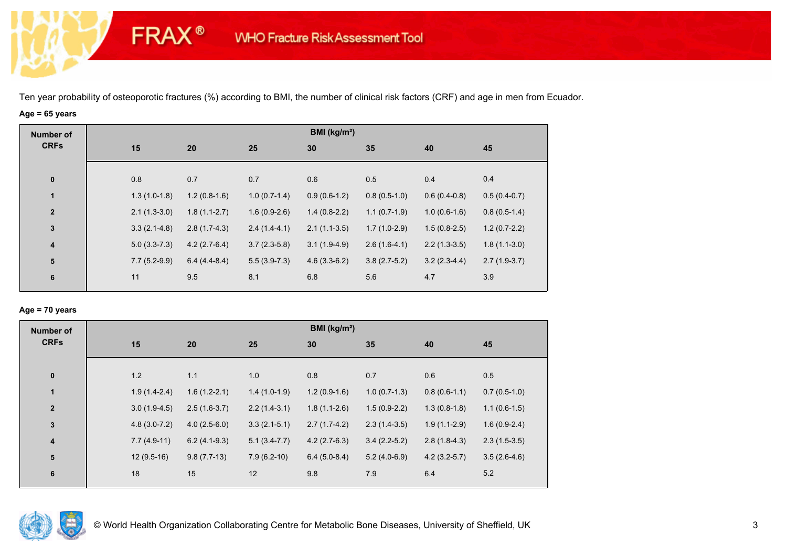# **Age = 65 years**

**FRAX®** 

| <b>Number of</b> |                |                |                | BMI ( $kg/m2$ ) |                |                |                |
|------------------|----------------|----------------|----------------|-----------------|----------------|----------------|----------------|
| <b>CRFs</b>      | 15             | 20             | 25             | 30              | 35             | 40             | 45             |
|                  |                |                |                |                 |                |                |                |
| $\pmb{0}$        | 0.8            | 0.7            | 0.7            | 0.6             | 0.5            | 0.4            | 0.4            |
| $\mathbf{1}$     | $1.3(1.0-1.8)$ | $1.2(0.8-1.6)$ | $1.0(0.7-1.4)$ | $0.9(0.6-1.2)$  | $0.8(0.5-1.0)$ | $0.6(0.4-0.8)$ | $0.5(0.4-0.7)$ |
| $\boldsymbol{2}$ | $2.1(1.3-3.0)$ | $1.8(1.1-2.7)$ | $1.6(0.9-2.6)$ | $1.4(0.8-2.2)$  | $1.1(0.7-1.9)$ | $1.0(0.6-1.6)$ | $0.8(0.5-1.4)$ |
| $\mathbf{3}$     | $3.3(2.1-4.8)$ | $2.8(1.7-4.3)$ | $2.4(1.4-4.1)$ | $2.1(1.1-3.5)$  | $1.7(1.0-2.9)$ | $1.5(0.8-2.5)$ | $1.2(0.7-2.2)$ |
| $\boldsymbol{4}$ | $5.0(3.3-7.3)$ | $4.2(2.7-6.4)$ | $3.7(2.3-5.8)$ | $3.1(1.9-4.9)$  | $2.6(1.6-4.1)$ | $2.2(1.3-3.5)$ | $1.8(1.1-3.0)$ |
| 5                | $7.7(5.2-9.9)$ | $6.4(4.4-8.4)$ | $5.5(3.9-7.3)$ | $4.6(3.3-6.2)$  | $3.8(2.7-5.2)$ | $3.2(2.3-4.4)$ | $2.7(1.9-3.7)$ |
| $6\phantom{1}6$  | 11             | 9.5            | 8.1            | 6.8             | 5.6            | 4.7            | 3.9            |
|                  |                |                |                |                 |                |                |                |

### **Age = 70 years**

| <b>Number of</b>        |     |                                  |                |                | BMI ( $kg/m2$ ) |                |                |
|-------------------------|-----|----------------------------------|----------------|----------------|-----------------|----------------|----------------|
| <b>CRFs</b>             | 15  | 20                               | 25             | 30             | 35              | 40             | 45             |
| $\pmb{0}$               | 1.2 | 1.1                              | 1.0            | 0.8            | 0.7             | 0.6            | 0.5            |
|                         |     |                                  |                |                |                 |                |                |
| $\mathbf{1}$            |     | $1.6(1.2-2.1)$<br>$1.9(1.4-2.4)$ | $1.4(1.0-1.9)$ | $1.2(0.9-1.6)$ | $1.0(0.7-1.3)$  | $0.8(0.6-1.1)$ | $0.7(0.5-1.0)$ |
| $\overline{2}$          |     | $3.0(1.9-4.5)$<br>$2.5(1.6-3.7)$ | $2.2(1.4-3.1)$ | $1.8(1.1-2.6)$ | $1.5(0.9-2.2)$  | $1.3(0.8-1.8)$ | $1.1(0.6-1.5)$ |
| 3                       |     | $4.8(3.0-7.2)$<br>$4.0(2.5-6.0)$ | $3.3(2.1-5.1)$ | $2.7(1.7-4.2)$ | $2.3(1.4-3.5)$  | $1.9(1.1-2.9)$ | $1.6(0.9-2.4)$ |
| $\overline{\mathbf{4}}$ |     | $7.7(4.9-11)$<br>$6.2(4.1-9.3)$  | $5.1(3.4-7.7)$ | $4.2(2.7-6.3)$ | $3.4(2.2-5.2)$  | $2.8(1.8-4.3)$ | $2.3(1.5-3.5)$ |
| 5                       |     | $12(9.5-16)$<br>$9.8(7.7-13)$    | $7.9(6.2-10)$  | $6.4(5.0-8.4)$ | $5.2(4.0-6.9)$  | $4.2(3.2-5.7)$ | $3.5(2.6-4.6)$ |
| 6                       | 18  | 15                               | 12             | 9.8            | 7.9             | 6.4            | 5.2            |

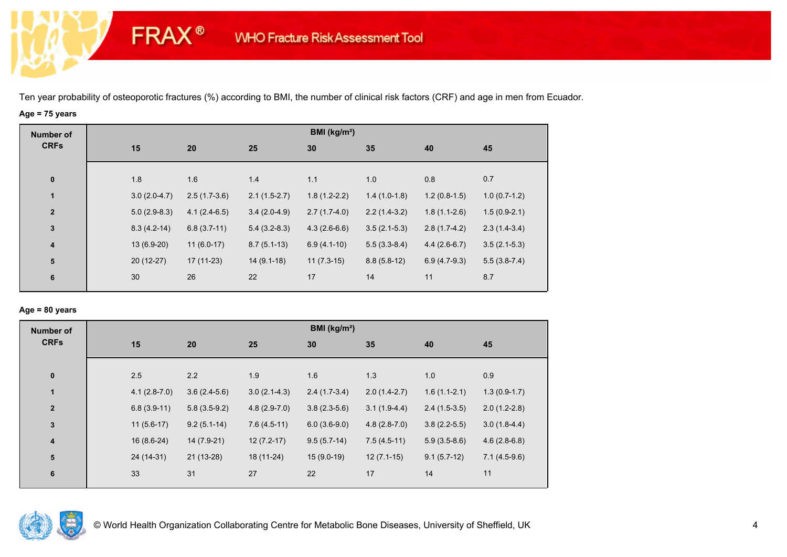# **Age = 75 years**

**FRAX®** 

| <b>Number of</b> |                |                |                | BMI (kg/m <sup>2</sup> ) |                |                |                |
|------------------|----------------|----------------|----------------|--------------------------|----------------|----------------|----------------|
| <b>CRFs</b>      | 15             | 20             | 25             | 30                       | 35             | 40             | 45             |
|                  |                |                |                |                          |                |                |                |
| $\pmb{0}$        | 1.8            | 1.6            | 1.4            | 1.1                      | 1.0            | 0.8            | 0.7            |
| $\mathbf{1}$     | $3.0(2.0-4.7)$ | $2.5(1.7-3.6)$ | $2.1(1.5-2.7)$ | $1.8(1.2-2.2)$           | $1.4(1.0-1.8)$ | $1.2(0.8-1.5)$ | $1.0(0.7-1.2)$ |
| $\overline{2}$   | $5.0(2.9-8.3)$ | $4.1(2.4-6.5)$ | $3.4(2.0-4.9)$ | $2.7(1.7-4.0)$           | $2.2(1.4-3.2)$ | $1.8(1.1-2.6)$ | $1.5(0.9-2.1)$ |
| $\mathbf 3$      | $8.3(4.2-14)$  | $6.8(3.7-11)$  | $5.4(3.2-8.3)$ | $4.3(2.6-6.6)$           | $3.5(2.1-5.3)$ | $2.8(1.7-4.2)$ | $2.3(1.4-3.4)$ |
| $\boldsymbol{4}$ | 13 (6.9-20)    | $11(6.0-17)$   | $8.7(5.1-13)$  | $6.9(4.1-10)$            | $5.5(3.3-8.4)$ | $4.4(2.6-6.7)$ | $3.5(2.1-5.3)$ |
| 5                | $20(12-27)$    | $17(11-23)$    | $14(9.1-18)$   | $11(7.3-15)$             | $8.8(5.8-12)$  | $6.9(4.7-9.3)$ | $5.5(3.8-7.4)$ |
| 6                | 30             | 26             | 22             | 17                       | 14             | 11             | 8.7            |

## **Age = 80 years**

| <b>Number of</b> |            |                                  |                | BMI ( $kg/m2$ ) |                |                |                |
|------------------|------------|----------------------------------|----------------|-----------------|----------------|----------------|----------------|
| <b>CRFs</b>      | 15         | 20                               | 25             | 30              | 35             | 40             | 45             |
| $\pmb{0}$        | 2.5        | 2.2                              | 1.9            | 1.6             | 1.3            | 1.0            | 0.9            |
| $\mathbf{1}$     |            | $3.6(2.4-5.6)$<br>$4.1(2.8-7.0)$ | $3.0(2.1-4.3)$ | $2.4(1.7-3.4)$  | $2.0(1.4-2.7)$ | $1.6(1.1-2.1)$ | $1.3(0.9-1.7)$ |
| $\overline{2}$   |            | $6.8(3.9-11)$<br>$5.8(3.5-9.2)$  | $4.8(2.9-7.0)$ | $3.8(2.3-5.6)$  | $3.1(1.9-4.4)$ | $2.4(1.5-3.5)$ | $2.0(1.2-2.8)$ |
| 3                |            | $9.2(5.1-14)$<br>$11(5.6-17)$    | $7.6(4.5-11)$  | $6.0(3.6-9.0)$  | $4.8(2.8-7.0)$ | $3.8(2.2-5.5)$ | $3.0(1.8-4.4)$ |
| 4                |            | $16(8.6-24)$<br>14 (7.9-21)      | $12(7.2-17)$   | $9.5(5.7-14)$   | $7.5(4.5-11)$  | $5.9(3.5-8.6)$ | $4.6(2.8-6.8)$ |
| 5                | 24 (14-31) | 21 (13-28)                       | 18 (11-24)     | $15(9.0-19)$    | $12(7.1-15)$   | $9.1(5.7-12)$  | $7.1(4.5-9.6)$ |
| $\boldsymbol{6}$ | 33         | 31                               | 27             | 22              | 17             | 14             | 11             |